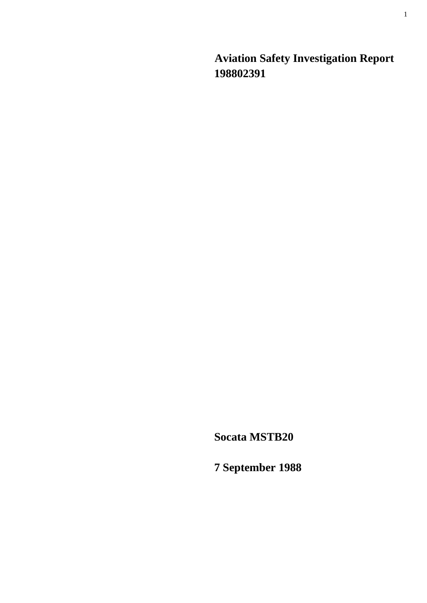**Aviation Safety Investigation Report 198802391** 

**Socata MSTB20** 

**7 September 1988**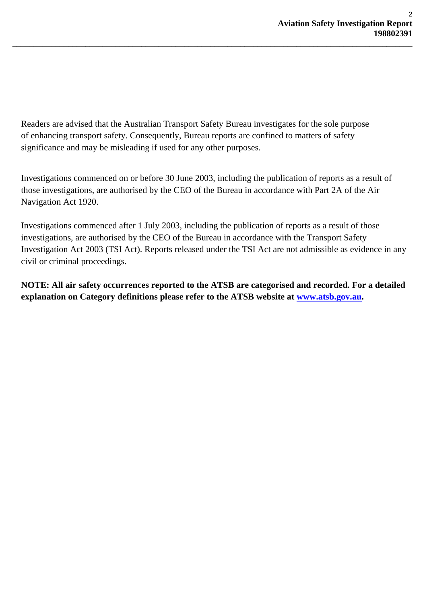Readers are advised that the Australian Transport Safety Bureau investigates for the sole purpose of enhancing transport safety. Consequently, Bureau reports are confined to matters of safety significance and may be misleading if used for any other purposes.

**\_\_\_\_\_\_\_\_\_\_\_\_\_\_\_\_\_\_\_\_\_\_\_\_\_\_\_\_\_\_\_\_\_\_\_\_\_\_\_\_\_\_\_\_\_\_\_\_\_\_\_\_\_\_\_\_\_\_\_\_\_\_\_\_\_\_\_\_\_\_\_\_\_\_\_\_\_\_\_\_\_\_\_\_\_\_\_\_\_\_\_\_\_** 

Investigations commenced on or before 30 June 2003, including the publication of reports as a result of those investigations, are authorised by the CEO of the Bureau in accordance with Part 2A of the Air Navigation Act 1920.

Investigations commenced after 1 July 2003, including the publication of reports as a result of those investigations, are authorised by the CEO of the Bureau in accordance with the Transport Safety Investigation Act 2003 (TSI Act). Reports released under the TSI Act are not admissible as evidence in any civil or criminal proceedings.

**NOTE: All air safety occurrences reported to the ATSB are categorised and recorded. For a detailed explanation on Category definitions please refer to the ATSB website at [www.atsb.gov.au](http://www.atsb.gov.au/).**